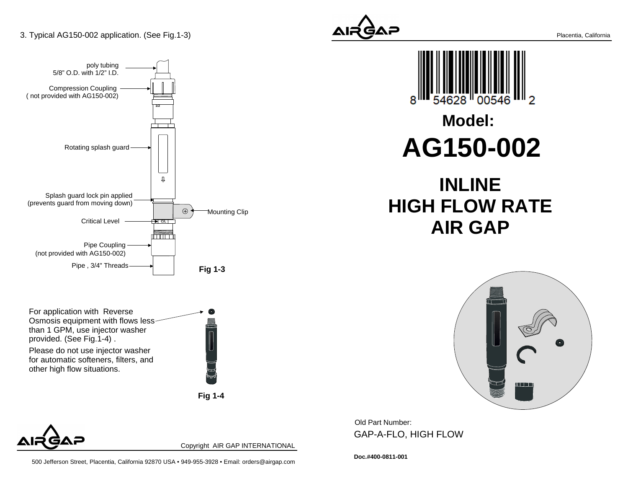

For application with Reverse Osmosis equipment with flows lessthan 1 GPM, use injector washerprovided. (See Fig.1-4) .

Please do not use injector washer for automatic softeners, filters, andother high flow situations.



**Fig 1-4**



Copyright AIR GAP INTERNATIONAL







Old Part Number: GAP-A-FLO, HIGH FLOW

**Doc.#400-0811-001**